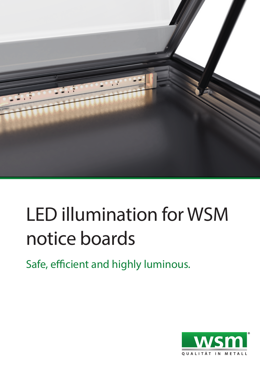

## LED illumination for WSM notice boards

Safe, efficient and highly luminous.